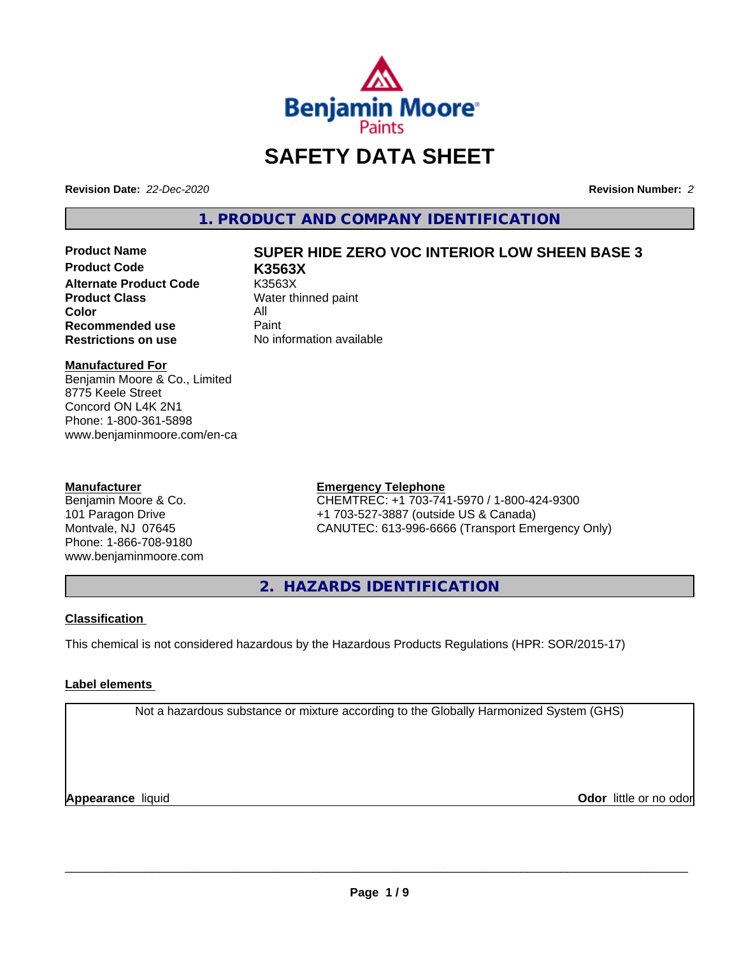

# **SAFETY DATA SHEET**

**Revision Date:** *22-Dec-2020* **Revision Number:** *2*

**1. PRODUCT AND COMPANY IDENTIFICATION**

**Product Code K3563X Alternate Product Code** K3563X<br> **Product Class** Water th **Color** All All<br>**Recommended use** Paint **Recommended use**<br>Restrictions on use

# **Product Name SUPER HIDE ZERO VOC INTERIOR LOW SHEEN BASE 3**

**Water thinned paint Restrictions on use** No information available

# **Manufactured For**

Benjamin Moore & Co., Limited 8775 Keele Street Concord ON L4K 2N1 Phone: 1-800-361-5898 www.benjaminmoore.com/en-ca

# **Manufacturer**

Benjamin Moore & Co. 101 Paragon Drive Montvale, NJ 07645 Phone: 1-866-708-9180 www.benjaminmoore.com

# **Emergency Telephone**

CHEMTREC: +1 703-741-5970 / 1-800-424-9300 +1 703-527-3887 (outside US & Canada) CANUTEC: 613-996-6666 (Transport Emergency Only)

**2. HAZARDS IDENTIFICATION**

# **Classification**

This chemical is not considered hazardous by the Hazardous Products Regulations (HPR: SOR/2015-17)

# **Label elements**

Not a hazardous substance or mixture according to the Globally Harmonized System (GHS)

**Appearance** liquid **CODO** *Appearance liquid* **Odor** *CODO CODO* **<b>***CODO CODO CODO CODO CODO*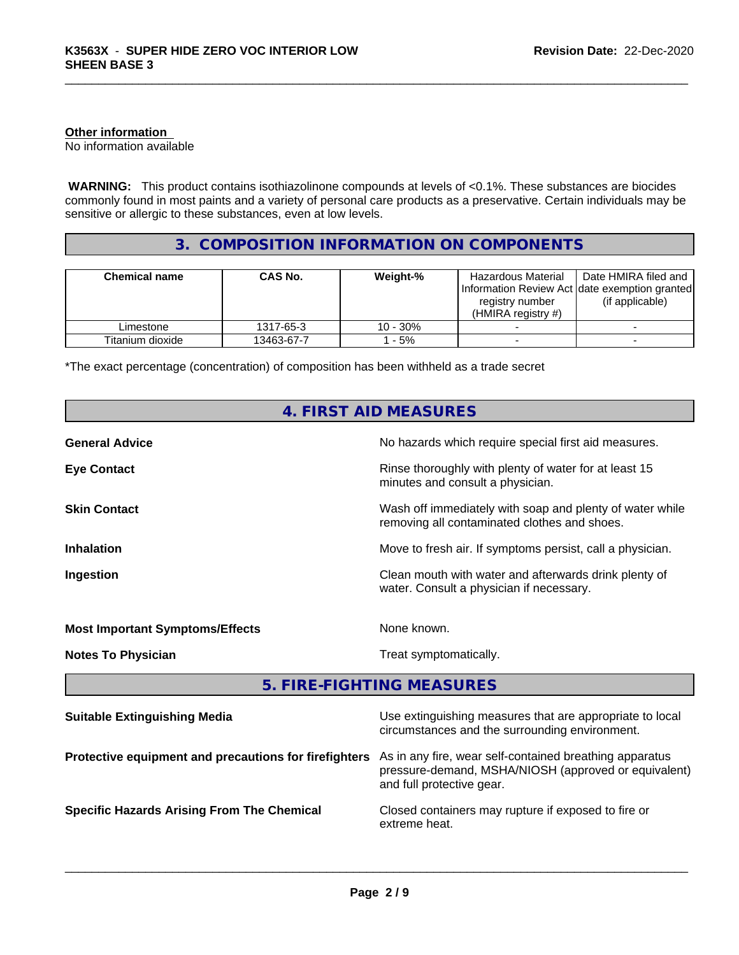# **Other information**

No information available

 **WARNING:** This product contains isothiazolinone compounds at levels of <0.1%. These substances are biocides commonly found in most paints and a variety of personal care products as a preservative. Certain individuals may be sensitive or allergic to these substances, even at low levels.

# **3. COMPOSITION INFORMATION ON COMPONENTS**

| <b>Chemical name</b> | CAS No.    | Weight-% | Hazardous Material<br>Information Review Act Idate exemption granted<br>registry number<br>$(HMIRA$ registry #) | Date HMIRA filed and<br>(if applicable) |
|----------------------|------------|----------|-----------------------------------------------------------------------------------------------------------------|-----------------------------------------|
| Limestone            | 1317-65-3  | 10 - 30% |                                                                                                                 |                                         |
| Titanium dioxide     | 13463-67-7 | - 5%     |                                                                                                                 |                                         |

\*The exact percentage (concentration) of composition has been withheld as a trade secret

| 4. FIRST AID MEASURES                                 |                                                                                                                                              |  |  |  |
|-------------------------------------------------------|----------------------------------------------------------------------------------------------------------------------------------------------|--|--|--|
| <b>General Advice</b>                                 | No hazards which require special first aid measures.                                                                                         |  |  |  |
| <b>Eye Contact</b>                                    | Rinse thoroughly with plenty of water for at least 15<br>minutes and consult a physician.                                                    |  |  |  |
| <b>Skin Contact</b>                                   | Wash off immediately with soap and plenty of water while<br>removing all contaminated clothes and shoes.                                     |  |  |  |
| <b>Inhalation</b>                                     | Move to fresh air. If symptoms persist, call a physician.                                                                                    |  |  |  |
| Ingestion                                             | Clean mouth with water and afterwards drink plenty of<br>water. Consult a physician if necessary.                                            |  |  |  |
| <b>Most Important Symptoms/Effects</b>                | None known.                                                                                                                                  |  |  |  |
| <b>Notes To Physician</b>                             | Treat symptomatically.                                                                                                                       |  |  |  |
|                                                       | 5. FIRE-FIGHTING MEASURES                                                                                                                    |  |  |  |
| <b>Suitable Extinguishing Media</b>                   | Use extinguishing measures that are appropriate to local<br>circumstances and the surrounding environment.                                   |  |  |  |
| Protective equipment and precautions for firefighters | As in any fire, wear self-contained breathing apparatus<br>pressure-demand, MSHA/NIOSH (approved or equivalent)<br>and full protective gear. |  |  |  |
| <b>Specific Hazards Arising From The Chemical</b>     | Closed containers may rupture if exposed to fire or<br>extreme heat.                                                                         |  |  |  |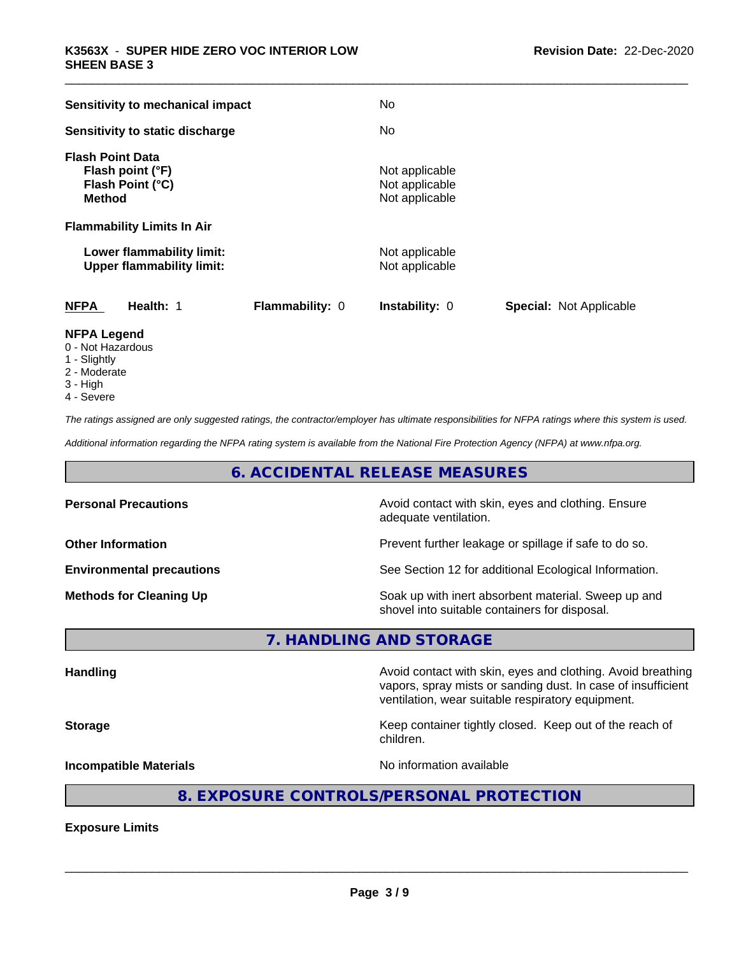| Sensitivity to mechanical impact                                                 |                        | No                                                 |                                |
|----------------------------------------------------------------------------------|------------------------|----------------------------------------------------|--------------------------------|
| Sensitivity to static discharge                                                  |                        | No                                                 |                                |
| <b>Flash Point Data</b><br>Flash point (°F)<br>Flash Point (°C)<br><b>Method</b> |                        | Not applicable<br>Not applicable<br>Not applicable |                                |
| <b>Flammability Limits In Air</b>                                                |                        |                                                    |                                |
| Lower flammability limit:<br><b>Upper flammability limit:</b>                    |                        | Not applicable<br>Not applicable                   |                                |
| <b>NFPA</b><br>Health: 1                                                         | <b>Flammability: 0</b> | <b>Instability: 0</b>                              | <b>Special: Not Applicable</b> |
| <b>NFPA Legend</b>                                                               |                        |                                                    |                                |

- 0 Not Hazardous
- 1 Slightly
- 2 Moderate
- 3 High
- 4 Severe

*The ratings assigned are only suggested ratings, the contractor/employer has ultimate responsibilities for NFPA ratings where this system is used.*

*Additional information regarding the NFPA rating system is available from the National Fire Protection Agency (NFPA) at www.nfpa.org.*

# **6. ACCIDENTAL RELEASE MEASURES**

| <b>Personal Precautions</b>      | Avoid contact with skin, eyes and clothing. Ensure<br>adequate ventilation.                          |
|----------------------------------|------------------------------------------------------------------------------------------------------|
| <b>Other Information</b>         | Prevent further leakage or spillage if safe to do so.                                                |
| <b>Environmental precautions</b> | See Section 12 for additional Ecological Information.                                                |
| <b>Methods for Cleaning Up</b>   | Soak up with inert absorbent material. Sweep up and<br>shovel into suitable containers for disposal. |

**7. HANDLING AND STORAGE**

**Handling Handling Avoid contact with skin, eyes and clothing. Avoid breathing H** vapors, spray mists or sanding dust. In case of insufficient ventilation, wear suitable respiratory equipment. **Storage Keep container tightly closed. Keep out of the reach of the reach of the reach of the reach of the reach of the reach of the reach of the reach of the reach of the reach of the reach of the reach of the reach of** children. **Incompatible Materials Incompatible Materials No information available** 

# **8. EXPOSURE CONTROLS/PERSONAL PROTECTION**

**Exposure Limits**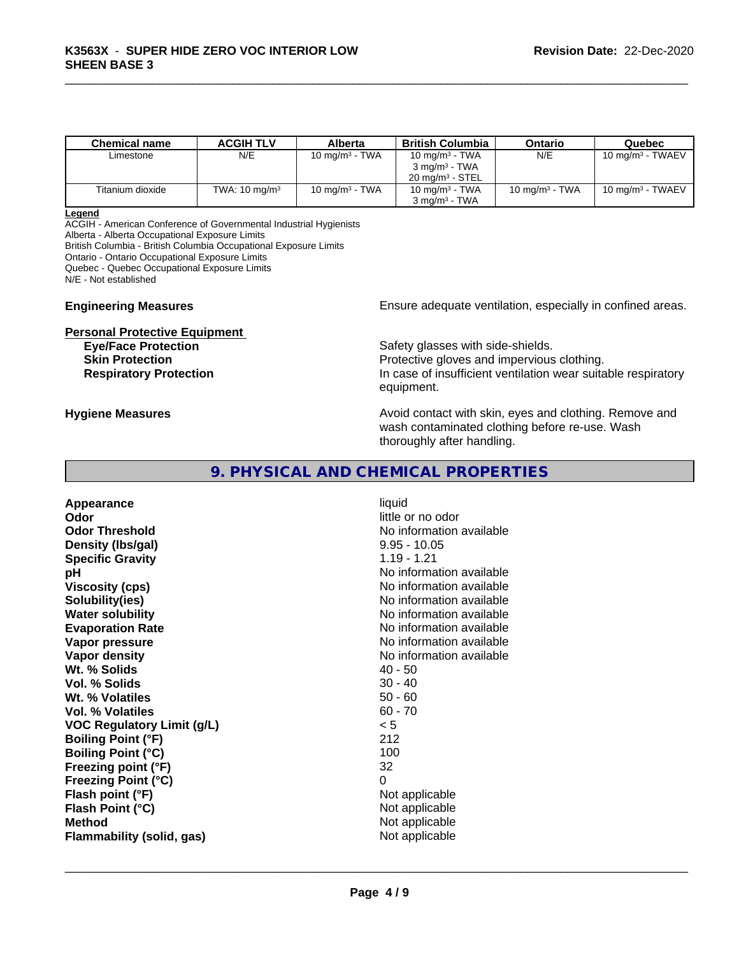| <b>Chemical name</b> | <b>ACGIH TLV</b>         | Alberta           | <b>British Columbia</b>    | Ontario           | Quebec                       |
|----------------------|--------------------------|-------------------|----------------------------|-------------------|------------------------------|
| Limestone            | N/E                      | 10 mg/m $3$ - TWA | 10 mg/m $3$ - TWA          | N/E               | 10 mg/m <sup>3</sup> - TWAEV |
|                      |                          |                   | $3 \text{ ma/m}^3$ - TWA   |                   |                              |
|                      |                          |                   | $20 \text{ ma/m}^3$ - STEL |                   |                              |
| Titanium dioxide     | TWA: $10 \text{ mg/m}^3$ | 10 mg/m $3 - TWA$ | 10 mg/m $3$ - TWA          | 10 mg/m $3$ - TWA | 10 mg/m $3$ - TWAEV          |
|                      |                          |                   | $3 \text{ ma/m}^3$ - TWA   |                   |                              |

#### **Legend**

ACGIH - American Conference of Governmental Industrial Hygienists

Alberta - Alberta Occupational Exposure Limits

British Columbia - British Columbia Occupational Exposure Limits

Ontario - Ontario Occupational Exposure Limits

Quebec - Quebec Occupational Exposure Limits

N/E - Not established

# **Personal Protective Equipment**<br> **Eve/Face Protection**

**Engineering Measures Ensure** Ensure adequate ventilation, especially in confined areas.

Safety glasses with side-shields. **Skin Protection Protection Protective gloves and impervious clothing. Respiratory Protection In case of insufficient ventilation wear suitable respiratory** equipment.

**Hygiene Measures Avoid contact with skin, eyes and clothing. Remove and Avoid contact with skin, eyes and clothing. Remove and Avoid contact with skin, eyes and clothing. Remove and** wash contaminated clothing before re-use. Wash thoroughly after handling.

# **9. PHYSICAL AND CHEMICAL PROPERTIES**

**Appearance** liquid **Odor** little or no odor **Odor Threshold No information available No information available Density (Ibs/gal)** 9.95 - 10.05 **Specific Gravity** 1.19 - 1.21 **pH pH**  $\blacksquare$ **Viscosity (cps)** No information available **Solubility(ies)** No information available **Water solubility Water solubility Water solubility Water Solubility Water Solubility Water Solution Evaporation Rate Evaporation Rate No information available Vapor pressure** No information available **Vapor density**<br> **We Solids**<br>
We Solids
2015<br>
2016<br>
2016<br>
2016<br>
2016<br>
2016<br>
2017 Wt. % Solids **Vol. % Solids** 30 - 40 **Wt. % Volatiles** 50 - 60 **Vol. % Volatiles** 60 - 70 **VOC Regulatory Limit (g/L)** < 5 **Boiling Point (°F)** 212 **Boiling Point (°C)** 100 **Freezing point (°F)** 32 **Freezing Point (°C)** 0 **Flash point (°F)** Not applicable **Flash Point (°C)** Not applicable **Method**<br> **Flammability (solid, gas)**<br> **Commability (solid, gas)**<br>
Mot applicable **Flammability** (solid, gas)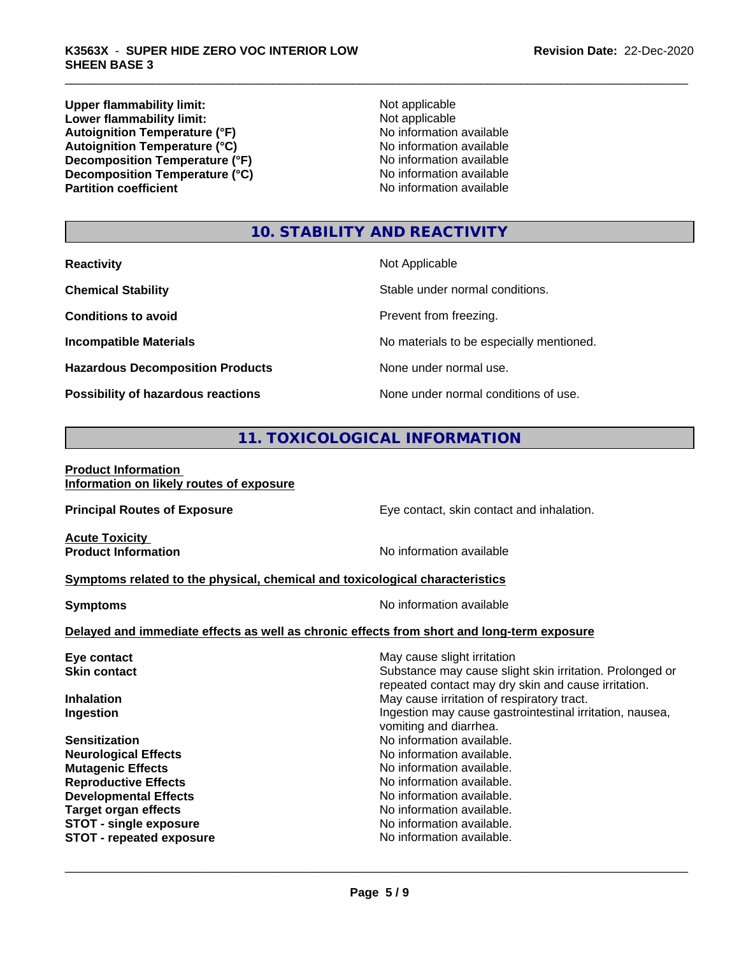Upper flammability limit:<br>
Lower flammability limit:<br>
Lower flammability limit:<br>  $\frac{1}{2}$  Mot applicable **Lower flammability limit:**<br> **Autoignition Temperature (°F)**<br>
Mo information available Autoignition Temperature (°F)<br>
Autoignition Temperature (°C)<br>
No information available Autoignition Temperature (°C)<br>
Decomposition Temperature (°F)<br>
No information available **Decomposition Temperature (°F)**<br> **Decomposition Temperature (°C)**<br>
No information available **Decomposition Temperature (°C) Partition coefficient** 

# **10. STABILITY AND REACTIVITY**

| <b>Reactivity</b>                       | Not Applicable                           |
|-----------------------------------------|------------------------------------------|
| <b>Chemical Stability</b>               | Stable under normal conditions.          |
| <b>Conditions to avoid</b>              | Prevent from freezing.                   |
| <b>Incompatible Materials</b>           | No materials to be especially mentioned. |
| <b>Hazardous Decomposition Products</b> | None under normal use.                   |
| Possibility of hazardous reactions      | None under normal conditions of use.     |

# **11. TOXICOLOGICAL INFORMATION**

# **Product Information Information on likely routes of exposure**

| Eye contact, skin contact and inhalation.                                                                       |  |  |  |  |
|-----------------------------------------------------------------------------------------------------------------|--|--|--|--|
| No information available                                                                                        |  |  |  |  |
| Symptoms related to the physical, chemical and toxicological characteristics                                    |  |  |  |  |
| No information available<br><b>Symptoms</b>                                                                     |  |  |  |  |
| Delayed and immediate effects as well as chronic effects from short and long-term exposure                      |  |  |  |  |
| May cause slight irritation                                                                                     |  |  |  |  |
| Substance may cause slight skin irritation. Prolonged or<br>repeated contact may dry skin and cause irritation. |  |  |  |  |
| May cause irritation of respiratory tract.                                                                      |  |  |  |  |
| Ingestion may cause gastrointestinal irritation, nausea,<br>vomiting and diarrhea.                              |  |  |  |  |
| No information available.                                                                                       |  |  |  |  |
| No information available.                                                                                       |  |  |  |  |
| No information available.                                                                                       |  |  |  |  |
| No information available.                                                                                       |  |  |  |  |
| No information available.                                                                                       |  |  |  |  |
| No information available.                                                                                       |  |  |  |  |
| No information available.                                                                                       |  |  |  |  |
| No information available.                                                                                       |  |  |  |  |
|                                                                                                                 |  |  |  |  |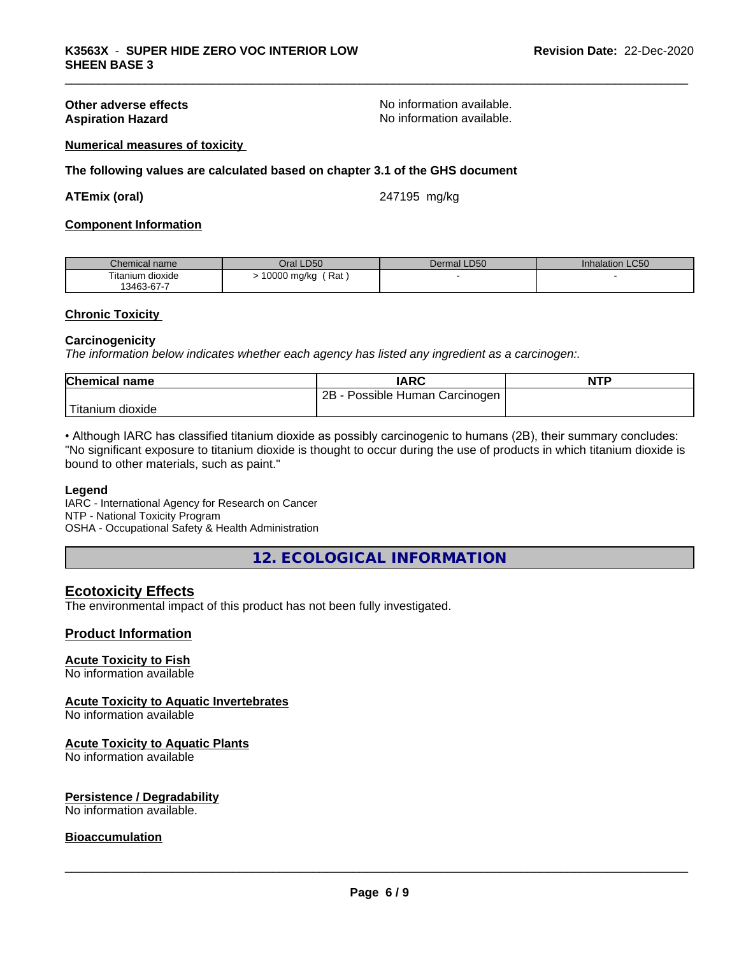**Other adverse effects**<br> **Aspiration Hazard**<br> **Aspiration Hazard**<br> **Aspiration Available.**<br>
No information available. No information available.

## **Numerical measures of toxicity**

**The following values are calculated based on chapter 3.1 of the GHS document**

#### **ATEmix (oral)** 247195 mg/kg

### **Component Information**

| Chemical name                   | LD50<br>Jral 1                  | <b>LD50</b><br>Dermal | Inhalation LC50 |
|---------------------------------|---------------------------------|-----------------------|-----------------|
| $- \cdot$ .<br>Fitanium dioxide | Rat<br>0000<br>mg/kg<br>$\cdot$ |                       |                 |
| 13463-67-7                      |                                 |                       |                 |

#### **Chronic Toxicity**

#### **Carcinogenicity**

*The information below indicateswhether each agency has listed any ingredient as a carcinogen:.*

| Chemical<br>name        | <b>IARC</b>                               | <b>NTP</b> |
|-------------------------|-------------------------------------------|------------|
|                         | . .<br>2B<br>Carcinogen<br>Possible Human |            |
| Titanium 、<br>n dioxide |                                           |            |

• Although IARC has classified titanium dioxide as possibly carcinogenic to humans (2B), their summary concludes: "No significant exposure to titanium dioxide is thought to occur during the use of products in which titanium dioxide is bound to other materials, such as paint."

#### **Legend**

IARC - International Agency for Research on Cancer NTP - National Toxicity Program OSHA - Occupational Safety & Health Administration

**12. ECOLOGICAL INFORMATION**

# **Ecotoxicity Effects**

The environmental impact of this product has not been fully investigated.

#### **Product Information**

# **Acute Toxicity to Fish**

No information available

## **Acute Toxicity to Aquatic Invertebrates**

No information available

#### **Acute Toxicity to Aquatic Plants**

No information available

#### **Persistence / Degradability**

No information available.

#### **Bioaccumulation**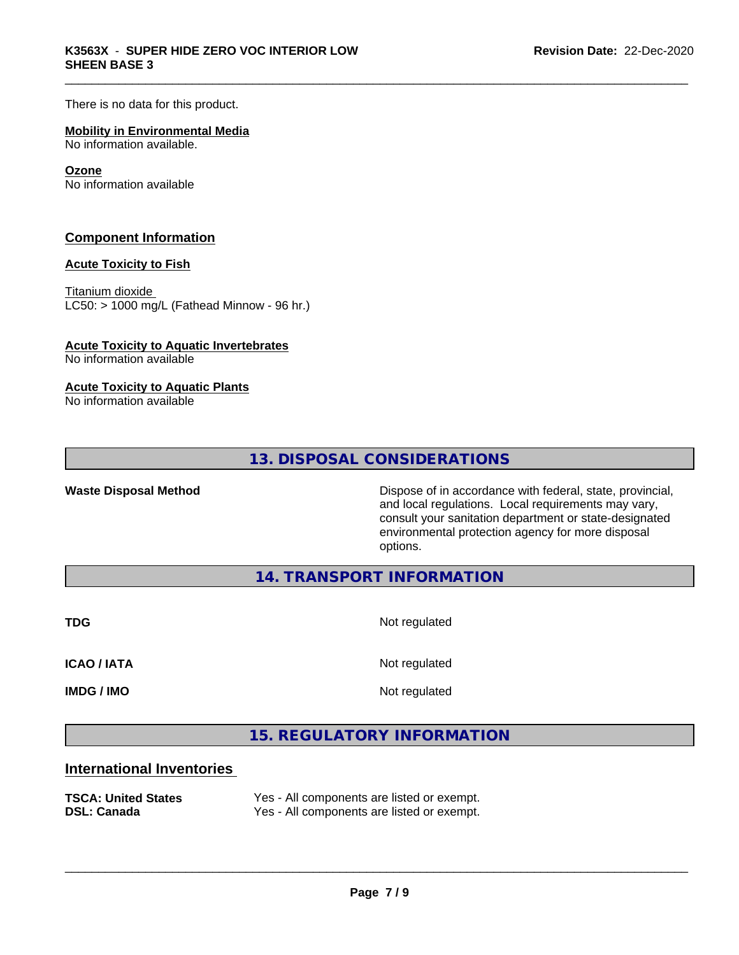There is no data for this product.

# **Mobility in Environmental Media**

No information available.

## **Ozone**

No information available

# **Component Information**

# **Acute Toxicity to Fish**

Titanium dioxide  $LCS0: > 1000$  mg/L (Fathead Minnow - 96 hr.)

# **Acute Toxicity to Aquatic Invertebrates**

No information available

# **Acute Toxicity to Aquatic Plants**

No information available

**13. DISPOSAL CONSIDERATIONS**

**Waste Disposal Method Dispose of in accordance with federal, state, provincial,** and local regulations. Local requirements may vary, consult your sanitation department or state-designated environmental protection agency for more disposal options.

**14. TRANSPORT INFORMATION**

**TDG** Not regulated

**ICAO / IATA** Not regulated

**IMDG / IMO** Not regulated

 $\overline{\phantom{a}}$  ,  $\overline{\phantom{a}}$  ,  $\overline{\phantom{a}}$  ,  $\overline{\phantom{a}}$  ,  $\overline{\phantom{a}}$  ,  $\overline{\phantom{a}}$  ,  $\overline{\phantom{a}}$  ,  $\overline{\phantom{a}}$  ,  $\overline{\phantom{a}}$  ,  $\overline{\phantom{a}}$  ,  $\overline{\phantom{a}}$  ,  $\overline{\phantom{a}}$  ,  $\overline{\phantom{a}}$  ,  $\overline{\phantom{a}}$  ,  $\overline{\phantom{a}}$  ,  $\overline{\phantom{a}}$ 

**15. REGULATORY INFORMATION**

# **International Inventories**

**TSCA: United States** Yes - All components are listed or exempt. **DSL: Canada** Yes - All components are listed or exempt.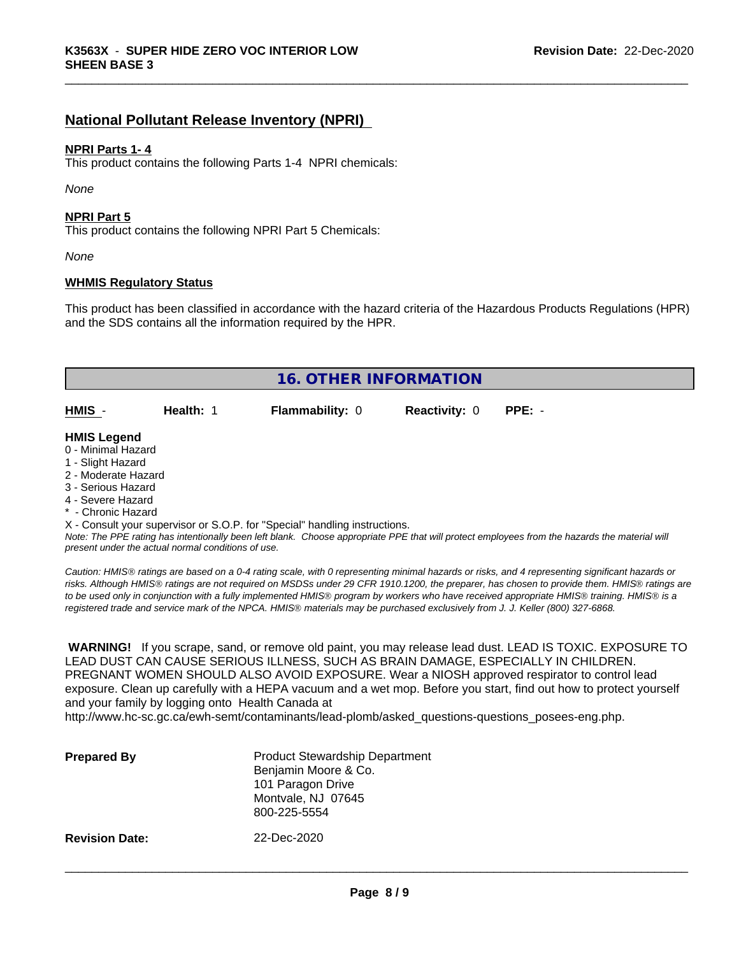# **National Pollutant Release Inventory (NPRI)**

## **NPRI Parts 1- 4**

This product contains the following Parts 1-4 NPRI chemicals:

*None*

### **NPRI Part 5**

This product contains the following NPRI Part 5 Chemicals:

*None*

## **WHMIS Regulatory Status**

This product has been classified in accordance with the hazard criteria of the Hazardous Products Regulations (HPR) and the SDS contains all the information required by the HPR.

|                     |           | <b>16. OTHER INFORMATION</b> |                      |          |  |
|---------------------|-----------|------------------------------|----------------------|----------|--|
|                     |           |                              |                      |          |  |
| HMIS -              | Health: 1 | Flammability: 0              | <b>Reactivity: 0</b> | $PPE: -$ |  |
|                     |           |                              |                      |          |  |
| <b>HMIS Legend</b>  |           |                              |                      |          |  |
| 0 - Minimal Hazard  |           |                              |                      |          |  |
| 1 - Slight Hazard   |           |                              |                      |          |  |
| 2 - Moderate Hazard |           |                              |                      |          |  |
| 3 - Serious Hazard  |           |                              |                      |          |  |
| 4 - Severe Hazard   |           |                              |                      |          |  |
| * - Chronic Hazard  |           |                              |                      |          |  |

X - Consult your supervisor or S.O.P. for "Special" handling instructions.

*Note: The PPE rating has intentionally been left blank. Choose appropriate PPE that will protect employees from the hazards the material will present under the actual normal conditions of use.*

*Caution: HMISÒ ratings are based on a 0-4 rating scale, with 0 representing minimal hazards or risks, and 4 representing significant hazards or risks. Although HMISÒ ratings are not required on MSDSs under 29 CFR 1910.1200, the preparer, has chosen to provide them. HMISÒ ratings are to be used only in conjunction with a fully implemented HMISÒ program by workers who have received appropriate HMISÒ training. HMISÒ is a registered trade and service mark of the NPCA. HMISÒ materials may be purchased exclusively from J. J. Keller (800) 327-6868.*

 **WARNING!** If you scrape, sand, or remove old paint, you may release lead dust. LEAD IS TOXIC. EXPOSURE TO LEAD DUST CAN CAUSE SERIOUS ILLNESS, SUCH AS BRAIN DAMAGE, ESPECIALLY IN CHILDREN. PREGNANT WOMEN SHOULD ALSO AVOID EXPOSURE.Wear a NIOSH approved respirator to control lead exposure. Clean up carefully with a HEPA vacuum and a wet mop. Before you start, find out how to protect yourself and your family by logging onto Health Canada at http://www.hc-sc.gc.ca/ewh-semt/contaminants/lead-plomb/asked\_questions-questions\_posees-eng.php.

| <b>Prepared By</b>    | <b>Product Stewardship Department</b><br>Benjamin Moore & Co.<br>101 Paragon Drive<br>Montvale, NJ 07645<br>800-225-5554 |  |
|-----------------------|--------------------------------------------------------------------------------------------------------------------------|--|
| <b>Revision Date:</b> | 22-Dec-2020                                                                                                              |  |